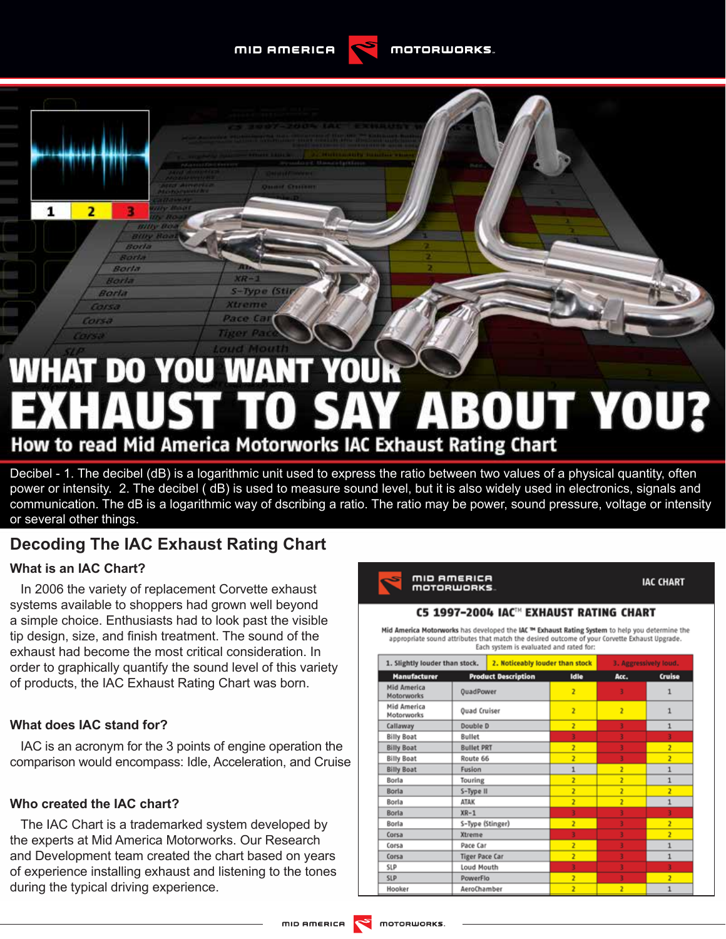MID AMERICA

-Type (S)



# **WHAT DO YOU WANT YOUR XHAUST TO SAY ABOUT YOU?** How to read Mid America Motorworks IAC Exhaust Rating Chart

# Decibel - 1. The decibel (dB) is a logarithmic unit used to express the ratio between two values of a physical quantity, often power or intensity. 2. The decibel ( dB) is used to measure sound level, but it is also widely used in electronics, signals and communication. The dB is a logarithmic way of dscribing a ratio. The ratio may be power, sound pressure, voltage or intensity or several other things.

# **Decoding The IAC Exhaust Rating Chart**

# **What is an IAC Chart?**

 $\overline{2}$ 

1

In 2006 the variety of replacement Corvette exhaust systems available to shoppers had grown well beyond a simple choice. Enthusiasts had to look past the visible tip design, size, and finish treatment. The sound of the exhaust had become the most critical consideration. In order to graphically quantify the sound level of this variety of products, the IAC Exhaust Rating Chart was born.

# **What does IAC stand for?**

IAC is an acronym for the 3 points of engine operation the comparison would encompass: Idle, Acceleration, and Cruise

### **Who created the IAC chart?**

The IAC Chart is a trademarked system developed by the experts at Mid America Motorworks. Our Research and Development team created the chart based on years of experience installing exhaust and listening to the tones during the typical driving experience.



**IAC CHART** 

#### C5 1997-2004 IAC™ EXHAUST RATING CHART

Mid America Motorworks has developed the IAC<sup>™</sup> Exhaust Rating System to help you determine the appropriate sound attributes that match the desired outcome of your Corvette Exhaust Upgrade. Each system is evaluated and rated for:

| 1. Slightly louder than stock.   |                       | 2. Noticeably louder than stock |                | 3. Aggressively loud. |                |
|----------------------------------|-----------------------|---------------------------------|----------------|-----------------------|----------------|
| Manufacturer                     |                       | <b>Product Description</b>      | Idle           | Acc.                  | Cruise         |
| <b>Mid America</b><br>Motorworks | <b>OuadPower</b>      |                                 | $\overline{2}$ |                       |                |
| Mid America<br>Motorworks        | <b>Ouad Cruiser</b>   |                                 | $\overline{2}$ | ž                     | 1              |
| Callaway                         | Double D              |                                 | $\overline{2}$ | 3                     | 1              |
| <b>Billy Boat</b>                | <b>Bullet</b>         |                                 | 3              |                       |                |
| <b>Billy Boat</b>                | <b>Bullet PRT</b>     |                                 | ž              |                       | ž              |
| <b>Billy Boat</b>                | Route 66              |                                 | $\overline{2}$ | ŧ                     | ż              |
| <b>Billy Boat</b>                | Fusion                |                                 | 1              | ż                     | $\mathbf{1}$   |
| Borla                            | Touring               |                                 | z              | $\overline{z}$        | 1              |
| Borla                            | S-Type II             |                                 | ž              | ž                     | ż              |
| Borla                            | <b>ATAK</b>           |                                 | $\overline{2}$ | $\overline{2}$        | 1              |
| Borla                            | $XR-1$                |                                 |                |                       |                |
| Borla                            | S-Type (Stinger)      |                                 | $\overline{z}$ |                       | ž              |
| Corsa                            | Xtreme                |                                 |                |                       | $\overline{2}$ |
| Corsa                            | Pace Car              |                                 | $\overline{z}$ | 3                     | 1              |
| Corsa                            | <b>Tiger Pace Car</b> |                                 | $\overline{z}$ |                       | $\mathbf{1}$   |
| SLP                              | Loud Mouth            |                                 |                |                       |                |
| <b>SLP</b>                       | PowerFlo              |                                 | $\overline{2}$ |                       | $\overline{2}$ |
| Hooker                           | AeroChamber           |                                 | ž              | $\overline{2}$        | 1              |